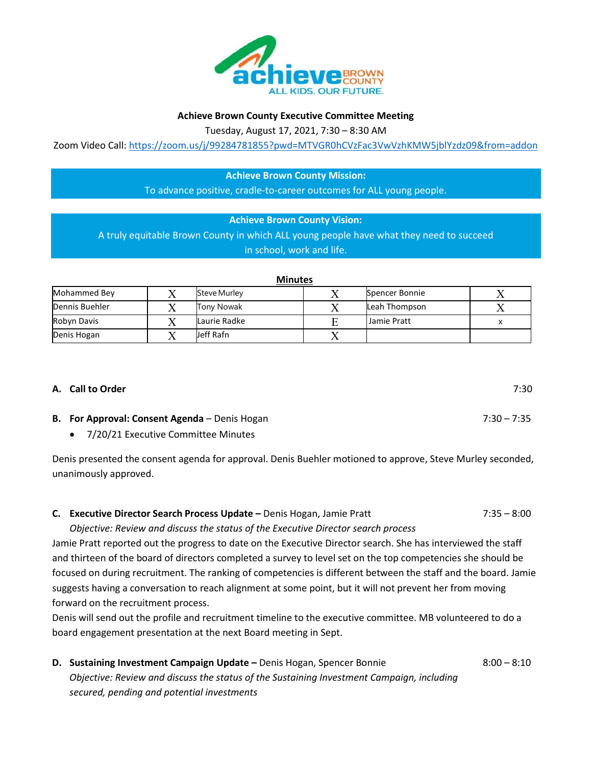

#### **Achieve Brown County Executive Committee Meeting**

Tuesday, August 17, 2021, 7:30 – 8:30 AM

Zoom Video Call:<https://zoom.us/j/99284781855?pwd=MTVGR0hCVzFac3VwVzhKMW5jblYzdz09&from=addon>

# **Achieve Brown County Mission:**

To advance positive, cradle-to-career outcomes for ALL young people.

#### **Achieve Brown County Vision:**

A truly equitable Brown County in which ALL young people have what they need to succeed in school, work and life.

| IVIIIULCJ      |  |                     |    |                |  |
|----------------|--|---------------------|----|----------------|--|
| Mohammed Bey   |  | <b>Steve Murley</b> |    | Spencer Bonnie |  |
| Dennis Buehler |  | Tony Nowak          |    | Leah Thompson  |  |
| Robyn Davis    |  | Laurie Radke        |    | I Jamie Pratt  |  |
| Denis Hogan    |  | Jeff Rafn           | ∡⊾ |                |  |

## **A. Call to Order** 7:30

- **B.** For Approval: Consent Agenda Denis Hogan 7:30 7:35 7:35
	- 7/20/21 Executive Committee Minutes

Denis presented the consent agenda for approval. Denis Buehler motioned to approve, Steve Murley seconded, unanimously approved.

## **C. Executive Director Search Process Update –** Denis Hogan, Jamie Pratt 7:35 – 8:00

*Objective: Review and discuss the status of the Executive Director search process*

Jamie Pratt reported out the progress to date on the Executive Director search. She has interviewed the staff and thirteen of the board of directors completed a survey to level set on the top competencies she should be focused on during recruitment. The ranking of competencies is different between the staff and the board. Jamie suggests having a conversation to reach alignment at some point, but it will not prevent her from moving forward on the recruitment process.

Denis will send out the profile and recruitment timeline to the executive committee. MB volunteered to do a board engagement presentation at the next Board meeting in Sept.

**D.** Sustaining Investment Campaign Update – Denis Hogan, Spencer Bonnie 8:00 – 8:10 *Objective: Review and discuss the status of the Sustaining Investment Campaign, including secured, pending and potential investments*

# **Minutes**